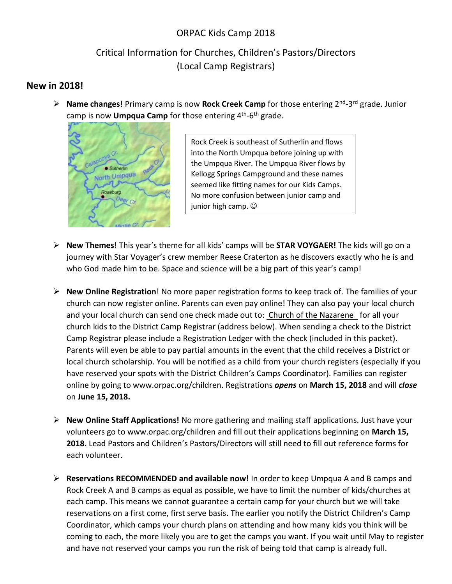# ORPAC Kids Camp 2018

# Critical Information for Churches, Children's Pastors/Directors (Local Camp Registrars)

### **New in 2018!**

**E** Name changes! Primary camp is now Rock Creek Camp for those entering 2<sup>nd</sup>-3<sup>rd</sup> grade. Junior camp is now **Umpqua Camp** for those entering 4<sup>th</sup>-6<sup>th</sup> grade.



Rock Creek is southeast of Sutherlin and flows into the North Umpqua before joining up with the Umpqua River. The Umpqua River flows by Kellogg Springs Campground and these names seemed like fitting names for our Kids Camps. No more confusion between junior camp and junior high camp.  $\odot$ 

- **New Themes**! This year's theme for all kids' camps will be **STAR VOYGAER!** The kids will go on a journey with Star Voyager's crew member Reese Craterton as he discovers exactly who he is and who God made him to be. Space and science will be a big part of this year's camp!
- **New Online Registration**! No more paper registration forms to keep track of. The families of your church can now register online. Parents can even pay online! They can also pay your local church and your local church can send one check made out to: Church of the Nazarene for all your church kids to the District Camp Registrar (address below). When sending a check to the District Camp Registrar please include a Registration Ledger with the check (included in this packet). Parents will even be able to pay partial amounts in the event that the child receives a District or local church scholarship. You will be notified as a child from your church registers (especially if you have reserved your spots with the District Children's Camps Coordinator). Families can register online by going to www.orpac.org/children. Registrations *opens* on **March 15, 2018** and will *close* on **June 15, 2018.**
- **New Online Staff Applications!** No more gathering and mailing staff applications. Just have your volunteers go to www.orpac.org/children and fill out their applications beginning on **March 15, 2018.** Lead Pastors and Children's Pastors/Directors will still need to fill out reference forms for each volunteer.
- **Reservations RECOMMENDED and available now!** In order to keep Umpqua A and B camps and Rock Creek A and B camps as equal as possible, we have to limit the number of kids/churches at each camp. This means we cannot guarantee a certain camp for your church but we will take reservations on a first come, first serve basis. The earlier you notify the District Children's Camp Coordinator, which camps your church plans on attending and how many kids you think will be coming to each, the more likely you are to get the camps you want. If you wait until May to register and have not reserved your camps you run the risk of being told that camp is already full.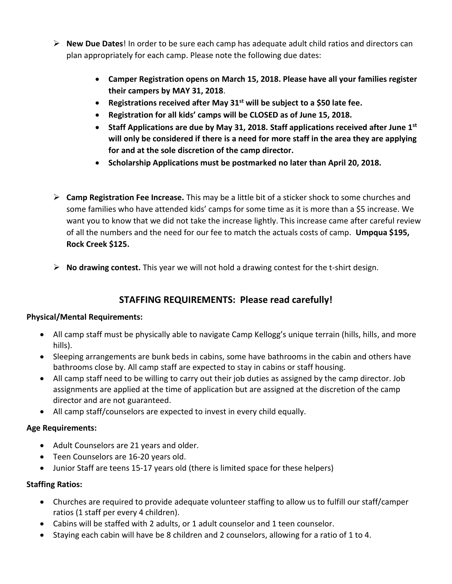- **New Due Dates**! In order to be sure each camp has adequate adult child ratios and directors can plan appropriately for each camp. Please note the following due dates:
	- **Camper Registration opens on March 15, 2018. Please have all your families register their campers by MAY 31, 2018**.
	- **Registrations received after May 31st will be subject to a \$50 late fee.**
	- **Registration for all kids' camps will be CLOSED as of June 15, 2018.**
	- **Staff Applications are due by May 31, 2018. Staff applications received after June 1st will only be considered if there is a need for more staff in the area they are applying for and at the sole discretion of the camp director.**
	- **Scholarship Applications must be postmarked no later than April 20, 2018.**
- **Camp Registration Fee Increase.** This may be a little bit of a sticker shock to some churches and some families who have attended kids' camps for some time as it is more than a \$5 increase. We want you to know that we did not take the increase lightly. This increase came after careful review of all the numbers and the need for our fee to match the actuals costs of camp. **Umpqua \$195, Rock Creek \$125.**
- **No drawing contest.** This year we will not hold a drawing contest for the t-shirt design.

# **STAFFING REQUIREMENTS: Please read carefully!**

#### **Physical/Mental Requirements:**

- All camp staff must be physically able to navigate Camp Kellogg's unique terrain (hills, hills, and more hills).
- Sleeping arrangements are bunk beds in cabins, some have bathrooms in the cabin and others have bathrooms close by. All camp staff are expected to stay in cabins or staff housing.
- All camp staff need to be willing to carry out their job duties as assigned by the camp director. Job assignments are applied at the time of application but are assigned at the discretion of the camp director and are not guaranteed.
- All camp staff/counselors are expected to invest in every child equally.

#### **Age Requirements:**

- Adult Counselors are 21 years and older.
- Teen Counselors are 16-20 years old.
- Junior Staff are teens 15-17 years old (there is limited space for these helpers)

#### **Staffing Ratios:**

- Churches are required to provide adequate volunteer staffing to allow us to fulfill our staff/camper ratios (1 staff per every 4 children).
- Cabins will be staffed with 2 adults, or 1 adult counselor and 1 teen counselor.
- Staying each cabin will have be 8 children and 2 counselors, allowing for a ratio of 1 to 4.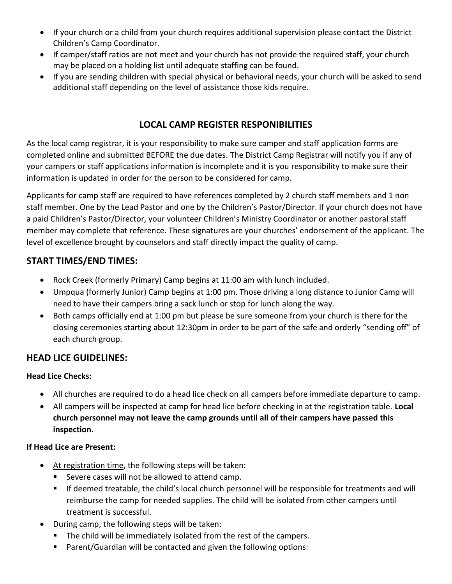- If your church or a child from your church requires additional supervision please contact the District Children's Camp Coordinator.
- If camper/staff ratios are not meet and your church has not provide the required staff, your church may be placed on a holding list until adequate staffing can be found.
- If you are sending children with special physical or behavioral needs, your church will be asked to send additional staff depending on the level of assistance those kids require.

# **LOCAL CAMP REGISTER RESPONIBILITIES**

As the local camp registrar, it is your responsibility to make sure camper and staff application forms are completed online and submitted BEFORE the due dates. The District Camp Registrar will notify you if any of your campers or staff applications information is incomplete and it is you responsibility to make sure their information is updated in order for the person to be considered for camp.

Applicants for camp staff are required to have references completed by 2 church staff members and 1 non staff member. One by the Lead Pastor and one by the Children's Pastor/Director. If your church does not have a paid Children's Pastor/Director, your volunteer Children's Ministry Coordinator or another pastoral staff member may complete that reference. These signatures are your churches' endorsement of the applicant. The level of excellence brought by counselors and staff directly impact the quality of camp.

#### **START TIMES/END TIMES:**

- Rock Creek (formerly Primary) Camp begins at 11:00 am with lunch included.
- Umpqua (formerly Junior) Camp begins at 1:00 pm. Those driving a long distance to Junior Camp will need to have their campers bring a sack lunch or stop for lunch along the way.
- Both camps officially end at 1:00 pm but please be sure someone from your church is there for the closing ceremonies starting about 12:30pm in order to be part of the safe and orderly "sending off" of each church group.

## **HEAD LICE GUIDELINES:**

#### **Head Lice Checks:**

- All churches are required to do a head lice check on all campers before immediate departure to camp.
- All campers will be inspected at camp for head lice before checking in at the registration table. **Local church personnel may not leave the camp grounds until all of their campers have passed this inspection.**

#### **If Head Lice are Present:**

- At registration time, the following steps will be taken:
	- Severe cases will not be allowed to attend camp.
	- If deemed treatable, the child's local church personnel will be responsible for treatments and will reimburse the camp for needed supplies. The child will be isolated from other campers until treatment is successful.
- During camp, the following steps will be taken:
	- The child will be immediately isolated from the rest of the campers.
	- Parent/Guardian will be contacted and given the following options: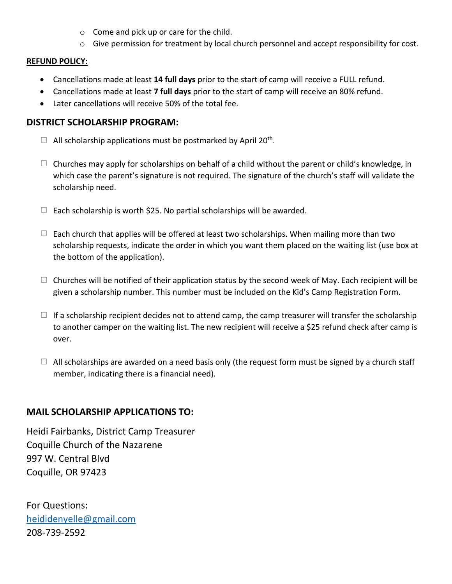- o Come and pick up or care for the child.
- o Give permission for treatment by local church personnel and accept responsibility for cost.

#### **REFUND POLICY**:

- Cancellations made at least **14 full days** prior to the start of camp will receive a FULL refund.
- Cancellations made at least **7 full days** prior to the start of camp will receive an 80% refund.
- Later cancellations will receive 50% of the total fee.

#### **DISTRICT SCHOLARSHIP PROGRAM:**

- All scholarship applications must be postmarked by April 20<sup>th</sup>.
- $\Box$  Churches may apply for scholarships on behalf of a child without the parent or child's knowledge, in which case the parent's signature is not required. The signature of the church's staff will validate the scholarship need.
- $\Box$  Each scholarship is worth \$25. No partial scholarships will be awarded.
- $\Box$  Each church that applies will be offered at least two scholarships. When mailing more than two scholarship requests, indicate the order in which you want them placed on the waiting list (use box at the bottom of the application).
- $\Box$  Churches will be notified of their application status by the second week of May. Each recipient will be given a scholarship number. This number must be included on the Kid's Camp Registration Form.
- $\Box$  If a scholarship recipient decides not to attend camp, the camp treasurer will transfer the scholarship to another camper on the waiting list. The new recipient will receive a \$25 refund check after camp is over.
- $\Box$  All scholarships are awarded on a need basis only (the request form must be signed by a church staff member, indicating there is a financial need).

#### **MAIL SCHOLARSHIP APPLICATIONS TO:**

Heidi Fairbanks, District Camp Treasurer Coquille Church of the Nazarene 997 W. Central Blvd Coquille, OR 97423

For Questions: [heididenyelle@gmail.com](mailto:heididenyelle@gmail.com) 208-739-2592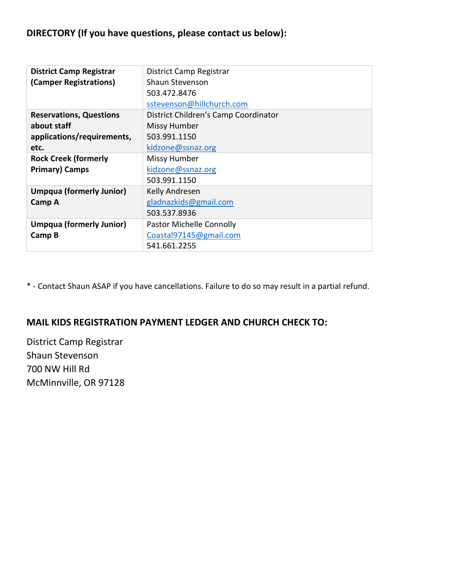# **DIRECTORY (If you have questions, please contact us below):**

| <b>District Camp Registrar</b>  | District Camp Registrar              |  |  |  |
|---------------------------------|--------------------------------------|--|--|--|
| (Camper Registrations)          | Shaun Stevenson                      |  |  |  |
|                                 | 503.472.8476                         |  |  |  |
|                                 | sstevenson@hillchurch.com            |  |  |  |
| <b>Reservations, Questions</b>  | District Children's Camp Coordinator |  |  |  |
| about staff                     | <b>Missy Humber</b>                  |  |  |  |
| applications/requirements,      | 503.991.1150                         |  |  |  |
| etc.                            | kidzone@ssnaz.org                    |  |  |  |
| <b>Rock Creek (formerly</b>     | Missy Humber                         |  |  |  |
| <b>Primary) Camps</b>           | kidzone@ssnaz.org                    |  |  |  |
|                                 | 503.991.1150                         |  |  |  |
| <b>Umpqua (formerly Junior)</b> | Kelly Andresen                       |  |  |  |
| Camp A                          | gladnazkids@gmail.com                |  |  |  |
|                                 | 503.537.8936                         |  |  |  |
| <b>Umpqua (formerly Junior)</b> | <b>Pastor Michelle Connolly</b>      |  |  |  |
| Camp B                          | Coastal97145@gmail.com               |  |  |  |
|                                 | 541.661.2255                         |  |  |  |

\* - Contact Shaun ASAP if you have cancellations. Failure to do so may result in a partial refund.

# **MAIL KIDS REGISTRATION PAYMENT LEDGER AND CHURCH CHECK TO:**

District Camp Registrar Shaun Stevenson 700 NW Hill Rd McMinnville, OR 97128